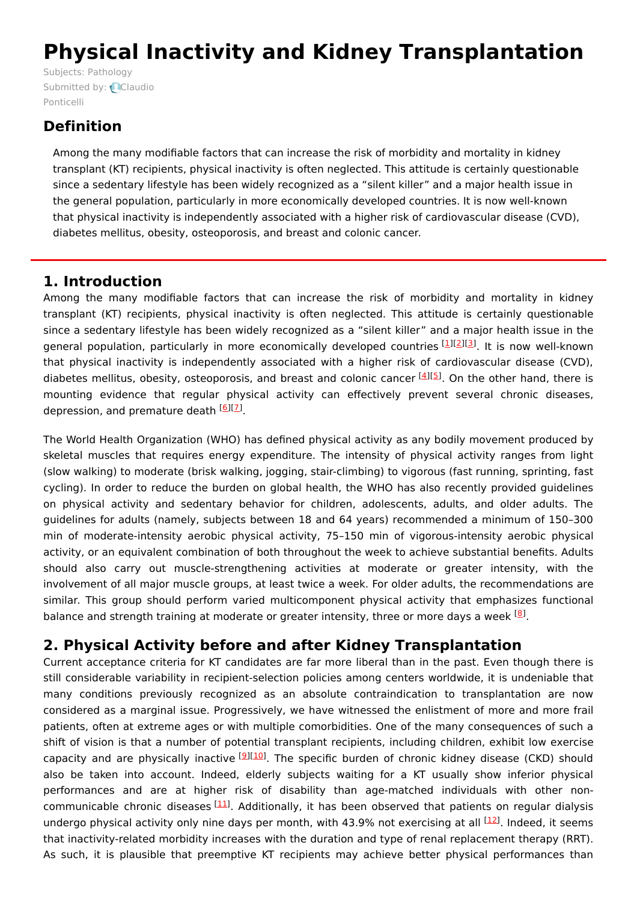# **Physical Inactivity and Kidney Transplantation**

Subjects: [Pathology](https://encyclopedia.pub/item/subject/204) [Submitted](https://sciprofiles.com/profile/1485156) by: Claudio Ponticelli

## **Definition**

Among the many modifiable factors that can increase the risk of morbidity and mortality in kidney transplant (KT) recipients, physical inactivity is often neglected. This attitude is certainly questionable since a sedentary lifestyle has been widely recognized as a "silent killer" and a major health issue in the general population, particularly in more economically developed countries. It is now well-known that physical inactivity is independently associated with a higher risk of cardiovascular disease (CVD), diabetes mellitus, obesity, osteoporosis, and breast and colonic cancer.

### **1. Introduction**

Among the many modifiable factors that can increase the risk of morbidity and mortality in kidney transplant (KT) recipients, physical inactivity is often neglected. This attitude is certainly questionable since a sedentary lifestyle has been widely recognized as a "silent killer" and a major health issue in the general population, particularly in more economically developed countries [[1](#page-3-0)][\[2](#page-3-1)][\[3](#page-3-2)]. It is now well-known that physical inactivity is independently associated with a higher risk of cardiovascular disease (CVD), diabetes mellitus, obesity, osteoporosis, and breast and colonic cancer <a>[[4](#page-3-3)]</a>[\[5](#page-3-4)]</a>. On the other hand, there is mounting evidence that regular physical activity can effectively prevent several chronic diseases, depression, and premature death <sup>[[6](#page-3-5)][\[7](#page-4-0)]</sup>.

The World Health Organization (WHO) has defined physical activity as any bodily movement produced by skeletal muscles that requires energy expenditure. The intensity of physical activity ranges from light (slow walking) to moderate (brisk walking, jogging, stair-climbing) to vigorous (fast running, sprinting, fast cycling). In order to reduce the burden on global health, the WHO has also recently provided guidelines on physical activity and sedentary behavior for children, adolescents, adults, and older adults. The guidelines for adults (namely, subjects between 18 and 64 years) recommended a minimum of 150–300 min of moderate-intensity aerobic physical activity, 75–150 min of vigorous-intensity aerobic physical activity, or an equivalent combination of both throughout the week to achieve substantial benefits. Adults should also carry out muscle-strengthening activities at moderate or greater intensity, with the involvement of all major muscle groups, at least twice a week. For older adults, the recommendations are similar. This group should perform varied multicomponent physical activity that emphasizes functional balance and strength training at moderate or greater intensity, three or more days a week  $^{8}$ .

## **2. Physical Activity before and after Kidney Transplantation**

Current acceptance criteria for KT candidates are far more liberal than in the past. Even though there is still considerable variability in recipient-selection policies among centers worldwide, it is undeniable that many conditions previously recognized as an absolute contraindication to transplantation are now considered as a marginal issue. Progressively, we have witnessed the enlistment of more and more frail patients, often at extreme ages or with multiple comorbidities. One of the many consequences of such a shift of vision is that a number of potential transplant recipients, including children, exhibit low exercise capacity and are physically inactive <sup>[<u>[9](#page-4-2)][\[10](#page-4-3)]</u>. The specific burden of chronic kidney disease (CKD) should</sup> also be taken into account. Indeed, elderly subjects waiting for a KT usually show inferior physical performances and are at higher risk of disability than age-matched individuals with other non-communicable chronic diseases [\[11](#page-4-4)]. Additionally, it has been observed that patients on regular dialysis undergo physical activity only nine days per month, with 43.9% not exercising at all <sup>[\[12](#page-4-5)]</sup>. Indeed, it seems that inactivity-related morbidity increases with the duration and type of renal replacement therapy (RRT). As such, it is plausible that preemptive KT recipients may achieve better physical performances than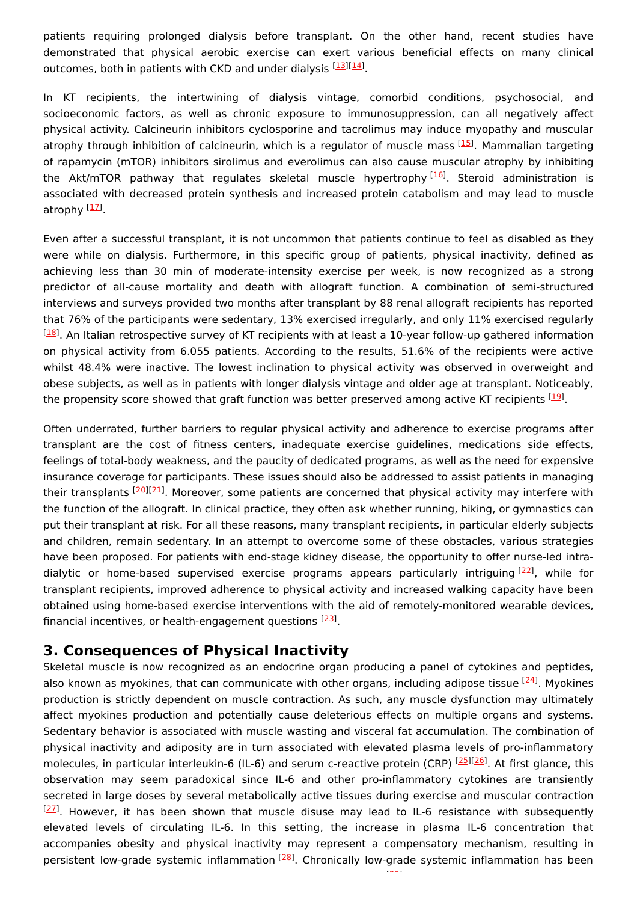patients requiring prolonged dialysis before transplant. On the other hand, recent studies have demonstrated that physical aerobic exercise can exert various beneficial effects on many clinical outcomes, both in patients with CKD and under dialysis [[13](#page-4-6)][\[14\]](#page-4-7).

In KT recipients, the intertwining of dialysis vintage, comorbid conditions, psychosocial, and socioeconomic factors, as well as chronic exposure to immunosuppression, can all negatively affect physical activity. Calcineurin inhibitors cyclosporine and tacrolimus may induce myopathy and muscular atrophy through inhibition of calcineurin, which is a regulator of muscle mass [\[15\]](#page-4-8). Mammalian targeting of rapamycin (mTOR) inhibitors sirolimus and everolimus can also cause muscular atrophy by inhibiting the Akt/mTOR pathway that regulates skeletal muscle hypertrophy [\[16](#page-4-9)]. Steroid administration is associated with decreased protein synthesis and increased protein catabolism and may lead to muscle atrophy <sup>[<u>17</u>]</sup>.

Even after a successful transplant, it is not uncommon that patients continue to feel as disabled as they were while on dialysis. Furthermore, in this specific group of patients, physical inactivity, defined as achieving less than 30 min of moderate-intensity exercise per week, is now recognized as a strong predictor of all-cause mortality and death with allograft function. A combination of semi-structured interviews and surveys provided two months after transplant by 88 renal allograft recipients has reported that 76% of the participants were sedentary, 13% exercised irregularly, and only 11% exercised regularly <sup>[[18](#page-4-11)]</sup>. An Italian retrospective survey of KT recipients with at least a 10-year follow-up gathered information on physical activity from 6.055 patients. According to the results, 51.6% of the recipients were active whilst 48.4% were inactive. The lowest inclination to physical activity was observed in overweight and obese subjects, as well as in patients with longer dialysis vintage and older age at transplant. Noticeably, the propensity score showed that graft function was better preserved among active KT recipients <sup>[\[19](#page-4-12)]</sup>.

Often underrated, further barriers to regular physical activity and adherence to exercise programs after transplant are the cost of fitness centers, inadequate exercise guidelines, medications side effects, feelings of total-body weakness, and the paucity of dedicated programs, as well as the need for expensive insurance coverage for participants. These issues should also be addressed to assist patients in managing their transplants <sup>[[20\]](#page-4-13)[[21\]](#page-4-14)</sup>. Moreover, some patients are concerned that physical activity may interfere with the function of the allograft. In clinical practice, they often ask whether running, hiking, or gymnastics can put their transplant at risk. For all these reasons, many transplant recipients, in particular elderly subjects and children, remain sedentary. In an attempt to overcome some of these obstacles, various strategies have been proposed. For patients with end-stage kidney disease, the opportunity to offer nurse-led intra-dialytic or home-based supervised exercise programs appears particularly intriguing [[22](#page-4-15)], while for transplant recipients, improved adherence to physical activity and increased walking capacity have been obtained using home-based exercise interventions with the aid of remotely-monitored wearable devices, financial incentives, or health-engagement questions [\[23](#page-4-16)].

#### **3. Consequences of Physical Inactivity**

Skeletal muscle is now recognized as an endocrine organ producing a panel of cytokines and peptides, also known as myokines, that can communicate with other organs, including adipose tissue <sup>[\[24\]](#page-4-17)</sup>. Myokines production is strictly dependent on muscle contraction. As such, any muscle dysfunction may ultimately affect myokines production and potentially cause deleterious effects on multiple organs and systems. Sedentary behavior is associated with muscle wasting and visceral fat accumulation. The combination of physical inactivity and adiposity are in turn associated with elevated plasma levels of pro-inflammatory molecules, in particular interleukin-6 (IL-6) and serum c-reactive protein (CRP) <sup>[[25](#page-4-18)][\[26](#page-4-19)]</sup>. At first glance, this observation may seem paradoxical since IL-6 and other pro-inflammatory cytokines are transiently secreted in large doses by several metabolically active tissues during exercise and muscular contraction  $^{[27]}$  $^{[27]}$  $^{[27]}$ . However, it has been shown that muscle disuse may lead to IL-6 resistance with subsequently elevated levels of circulating IL-6. In this setting, the increase in plasma IL-6 concentration that accompanies obesity and physical inactivity may represent a compensatory mechanism, resulting in persistent low-grade systemic inflammation <sup>[\[28](#page-4-21)]</sup>. Chronically low-grade systemic inflammation has been

[29]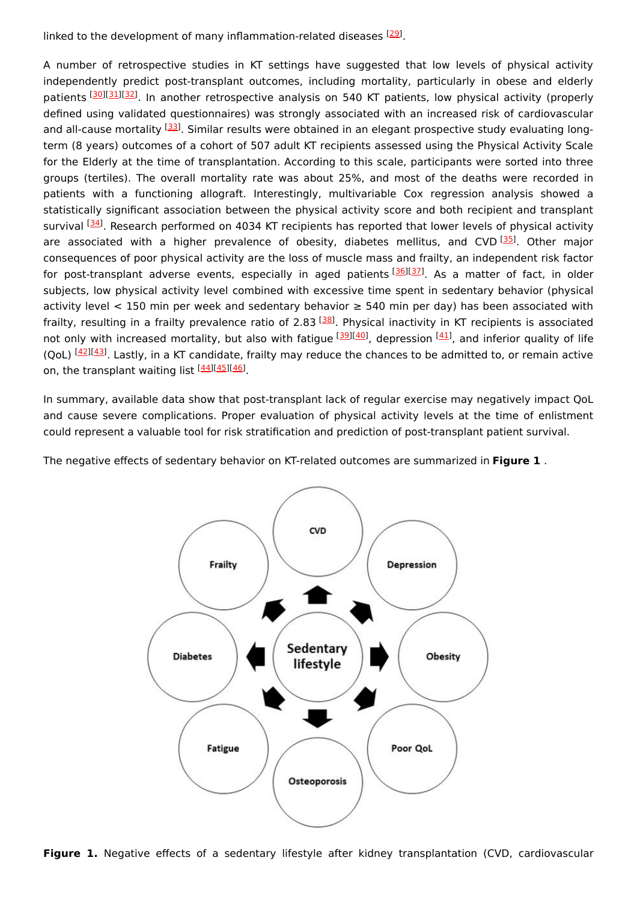linked to the development of many inflammation-related diseases  $^{[29]}$  $^{[29]}$  $^{[29]}$ .

A number of retrospective studies in KT settings have suggested that low levels of physical activity independently predict post-transplant outcomes, including mortality, particularly in obese and elderly patients [\[30](#page-4-23)][\[31](#page-4-24)][\[32](#page-5-0)]. In another retrospective analysis on 540 KT patients, low physical activity (properly defined using validated questionnaires) was strongly associated with an increased risk of cardiovascular and all-cause mortality <sup>[[33\]](#page-5-1)</sup>. Similar results were obtained in an elegant prospective study evaluating longterm (8 years) outcomes of a cohort of 507 adult KT recipients assessed using the Physical Activity Scale for the Elderly at the time of transplantation. According to this scale, participants were sorted into three groups (tertiles). The overall mortality rate was about 25%, and most of the deaths were recorded in patients with a functioning allograft. Interestingly, multivariable Cox regression analysis showed a statistically significant association between the physical activity score and both recipient and transplant survival <sup>[\[34](#page-5-2)]</sup>. Research performed on 4034 KT recipients has reported that lower levels of physical activity are associated with a higher prevalence of obesity, diabetes mellitus, and CVD<sup>[\[35](#page-5-3)]</sup>. Other major consequences of poor physical activity are the loss of muscle mass and frailty, an independent risk factor for post-transplant adverse events, especially in aged patients [\[36](#page-5-4)][\[37](#page-5-5)]. As a matter of fact, in older subjects, low physical activity level combined with excessive time spent in sedentary behavior (physical activity level < 150 min per week and sedentary behavior  $\geq$  540 min per day) has been associated with frailty, resulting in a frailty prevalence ratio of 2.83 <sup>[[38\]](#page-5-6)</sup>. Physical inactivity in KT recipients is associated not only with increased mortality, but also with fatigue [\[39](#page-5-7)][[40](#page-5-8)], depression [[41](#page-5-9)], and inferior quality of life (QoL) <sup>[[42\]](#page-5-10)[[43\]](#page-5-11)</sup>. Lastly, in a KT candidate, frailty may reduce the chances to be admitted to, or remain active on, the transplant waiting list <sup>[[44](#page-5-12)][\[45\]](#page-5-13)[[46](#page-5-14)]</sup>.

In summary, available data show that post-transplant lack of regular exercise may negatively impact QoL and cause severe complications. Proper evaluation of physical activity levels at the time of enlistment could represent a valuable tool for risk stratification and prediction of post-transplant patient survival.

The negative effects of sedentary behavior on KT-related outcomes are summarized in **Figure 1** .



**Figure 1.** Negative effects of a sedentary lifestyle after kidney transplantation (CVD, cardiovascular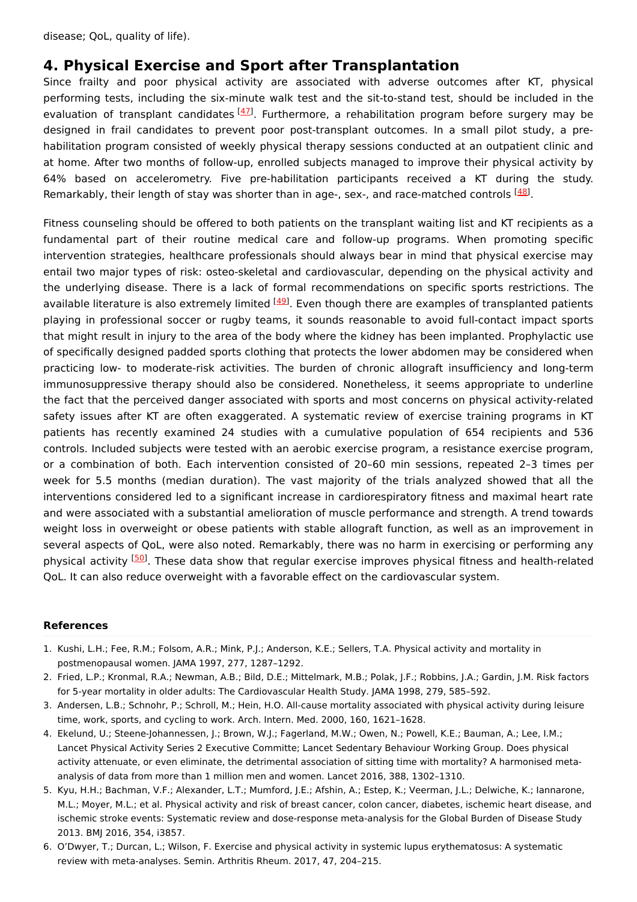#### **4. Physical Exercise and Sport after Transplantation**

Since frailty and poor physical activity are associated with adverse outcomes after KT, physical performing tests, including the six-minute walk test and the sit-to-stand test, should be included in the evaluation of transplant candidates [\[47](#page-5-15)]. Furthermore, a rehabilitation program before surgery may be designed in frail candidates to prevent poor post-transplant outcomes. In a small pilot study, a prehabilitation program consisted of weekly physical therapy sessions conducted at an outpatient clinic and at home. After two months of follow-up, enrolled subjects managed to improve their physical activity by 64% based on accelerometry. Five pre-habilitation participants received a KT during the study. Remarkably, their length of stay was shorter than in age-, sex-, and race-matched controls  $^{[48]}$  $^{[48]}$  $^{[48]}$ .

Fitness counseling should be offered to both patients on the transplant waiting list and KT recipients as a fundamental part of their routine medical care and follow-up programs. When promoting specific intervention strategies, healthcare professionals should always bear in mind that physical exercise may entail two major types of risk: osteo-skeletal and cardiovascular, depending on the physical activity and the underlying disease. There is a lack of formal recommendations on specific sports restrictions. The available literature is also extremely limited <sup>[\[49](#page-5-17)]</sup>. Even though there are examples of transplanted patients playing in professional soccer or rugby teams, it sounds reasonable to avoid full-contact impact sports that might result in injury to the area of the body where the kidney has been implanted. Prophylactic use of specifically designed padded sports clothing that protects the lower abdomen may be considered when practicing low- to moderate-risk activities. The burden of chronic allograft insufficiency and long-term immunosuppressive therapy should also be considered. Nonetheless, it seems appropriate to underline the fact that the perceived danger associated with sports and most concerns on physical activity-related safety issues after KT are often exaggerated. A systematic review of exercise training programs in KT patients has recently examined 24 studies with a cumulative population of 654 recipients and 536 controls. Included subjects were tested with an aerobic exercise program, a resistance exercise program, or a combination of both. Each intervention consisted of 20–60 min sessions, repeated 2–3 times per week for 5.5 months (median duration). The vast majority of the trials analyzed showed that all the interventions considered led to a significant increase in cardiorespiratory fitness and maximal heart rate and were associated with a substantial amelioration of muscle performance and strength. A trend towards weight loss in overweight or obese patients with stable allograft function, as well as an improvement in several aspects of QoL, were also noted. Remarkably, there was no harm in exercising or performing any physical activity <sup>[\[50](#page-5-18)]</sup>. These data show that regular exercise improves physical fitness and health-related QoL. It can also reduce overweight with a favorable effect on the cardiovascular system.

#### **References**

- <span id="page-3-0"></span>1. Kushi, L.H.; Fee, R.M.; Folsom, A.R.; Mink, P.J.; Anderson, K.E.; Sellers, T.A. Physical activity and mortality in postmenopausal women. JAMA 1997, 277, 1287–1292.
- <span id="page-3-1"></span>2. Fried, L.P.; Kronmal, R.A.; Newman, A.B.; Bild, D.E.; Mittelmark, M.B.; Polak, J.F.; Robbins, J.A.; Gardin, J.M. Risk factors for 5-year mortality in older adults: The Cardiovascular Health Study. JAMA 1998, 279, 585–592.
- <span id="page-3-2"></span>3. Andersen, L.B.; Schnohr, P.; Schroll, M.; Hein, H.O. All-cause mortality associated with physical activity during leisure time, work, sports, and cycling to work. Arch. Intern. Med. 2000, 160, 1621–1628.
- <span id="page-3-3"></span>4. Ekelund, U.; Steene-Johannessen, J.; Brown, W.J.; Fagerland, M.W.; Owen, N.; Powell, K.E.; Bauman, A.; Lee, I.M.; Lancet Physical Activity Series 2 Executive Committe; Lancet Sedentary Behaviour Working Group. Does physical activity attenuate, or even eliminate, the detrimental association of sitting time with mortality? A harmonised metaanalysis of data from more than 1 million men and women. Lancet 2016, 388, 1302–1310.
- <span id="page-3-4"></span>5. Kyu, H.H.; Bachman, V.F.; Alexander, L.T.; Mumford, J.E.; Afshin, A.; Estep, K.; Veerman, J.L.; Delwiche, K.; Iannarone, M.L.; Moyer, M.L.; et al. Physical activity and risk of breast cancer, colon cancer, diabetes, ischemic heart disease, and ischemic stroke events: Systematic review and dose-response meta-analysis for the Global Burden of Disease Study 2013. BMJ 2016, 354, i3857.
- <span id="page-3-5"></span>6. O'Dwyer, T.; Durcan, L.; Wilson, F. Exercise and physical activity in systemic lupus erythematosus: A systematic review with meta-analyses. Semin. Arthritis Rheum. 2017, 47, 204–215.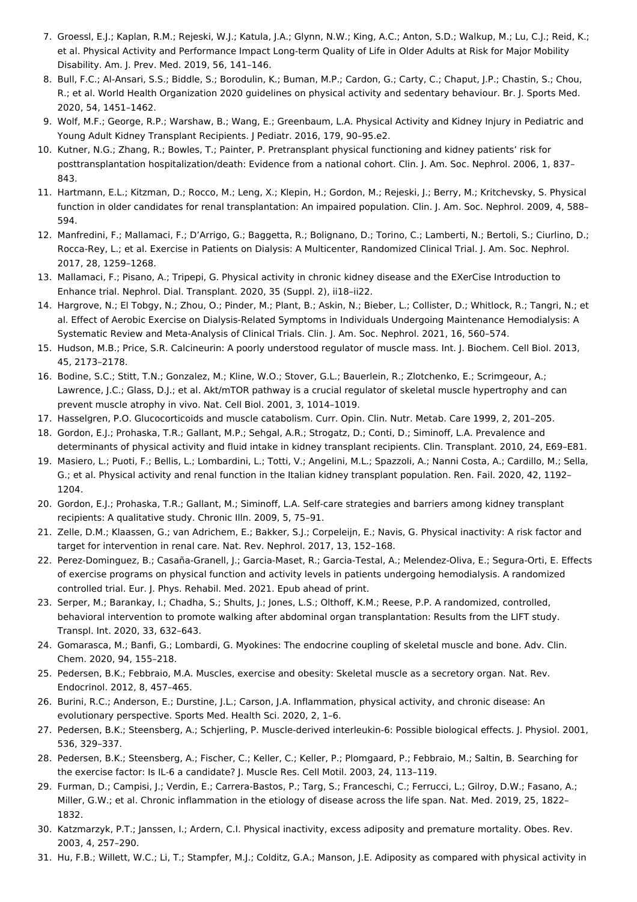- <span id="page-4-0"></span>7. Groessl, E.J.; Kaplan, R.M.; Rejeski, W.J.; Katula, J.A.; Glynn, N.W.; King, A.C.; Anton, S.D.; Walkup, M.; Lu, C.J.; Reid, K.; et al. Physical Activity and Performance Impact Long-term Quality of Life in Older Adults at Risk for Major Mobility Disability. Am. J. Prev. Med. 2019, 56, 141–146.
- <span id="page-4-1"></span>8. Bull, F.C.; Al-Ansari, S.S.; Biddle, S.; Borodulin, K.; Buman, M.P.; Cardon, G.; Carty, C.; Chaput, J.P.; Chastin, S.; Chou, R.; et al. World Health Organization 2020 guidelines on physical activity and sedentary behaviour. Br. J. Sports Med. 2020, 54, 1451–1462.
- <span id="page-4-2"></span>9. Wolf, M.F.; George, R.P.; Warshaw, B.; Wang, E.; Greenbaum, L.A. Physical Activity and Kidney Injury in Pediatric and Young Adult Kidney Transplant Recipients. J Pediatr. 2016, 179, 90–95.e2.
- <span id="page-4-3"></span>10. Kutner, N.G.; Zhang, R.; Bowles, T.; Painter, P. Pretransplant physical functioning and kidney patients' risk for posttransplantation hospitalization/death: Evidence from a national cohort. Clin. J. Am. Soc. Nephrol. 2006, 1, 837– 843.
- <span id="page-4-4"></span>11. Hartmann, E.L.; Kitzman, D.; Rocco, M.; Leng, X.; Klepin, H.; Gordon, M.; Rejeski, J.; Berry, M.; Kritchevsky, S. Physical function in older candidates for renal transplantation: An impaired population. Clin. J. Am. Soc. Nephrol. 2009, 4, 588– 594.
- <span id="page-4-5"></span>12. Manfredini, F.; Mallamaci, F.; D'Arrigo, G.; Baggetta, R.; Bolignano, D.; Torino, C.; Lamberti, N.; Bertoli, S.; Ciurlino, D.; Rocca-Rey, L.; et al. Exercise in Patients on Dialysis: A Multicenter, Randomized Clinical Trial. J. Am. Soc. Nephrol. 2017, 28, 1259–1268.
- <span id="page-4-6"></span>13. Mallamaci, F.; Pisano, A.; Tripepi, G. Physical activity in chronic kidney disease and the EXerCise Introduction to Enhance trial. Nephrol. Dial. Transplant. 2020, 35 (Suppl. 2), ii18–ii22.
- <span id="page-4-7"></span>14. Hargrove, N.; El Tobgy, N.; Zhou, O.; Pinder, M.; Plant, B.; Askin, N.; Bieber, L.; Collister, D.; Whitlock, R.; Tangri, N.; et al. Effect of Aerobic Exercise on Dialysis-Related Symptoms in Individuals Undergoing Maintenance Hemodialysis: A Systematic Review and Meta-Analysis of Clinical Trials. Clin. J. Am. Soc. Nephrol. 2021, 16, 560–574.
- <span id="page-4-8"></span>15. Hudson, M.B.; Price, S.R. Calcineurin: A poorly understood regulator of muscle mass. Int. J. Biochem. Cell Biol. 2013, 45, 2173–2178.
- <span id="page-4-9"></span>16. Bodine, S.C.; Stitt, T.N.; Gonzalez, M.; Kline, W.O.; Stover, G.L.; Bauerlein, R.; Zlotchenko, E.; Scrimgeour, A.; Lawrence, J.C.; Glass, D.J.; et al. Akt/mTOR pathway is a crucial regulator of skeletal muscle hypertrophy and can prevent muscle atrophy in vivo. Nat. Cell Biol. 2001, 3, 1014–1019.
- <span id="page-4-10"></span>17. Hasselgren, P.O. Glucocorticoids and muscle catabolism. Curr. Opin. Clin. Nutr. Metab. Care 1999, 2, 201–205.
- <span id="page-4-11"></span>18. Gordon, E.J.; Prohaska, T.R.; Gallant, M.P.; Sehgal, A.R.; Strogatz, D.; Conti, D.; Siminoff, L.A. Prevalence and determinants of physical activity and fluid intake in kidney transplant recipients. Clin. Transplant. 2010, 24, E69–E81.
- <span id="page-4-12"></span>19. Masiero, L.; Puoti, F.; Bellis, L.; Lombardini, L.; Totti, V.; Angelini, M.L.; Spazzoli, A.; Nanni Costa, A.; Cardillo, M.; Sella, G.; et al. Physical activity and renal function in the Italian kidney transplant population. Ren. Fail. 2020, 42, 1192– 1204.
- <span id="page-4-13"></span>20. Gordon, E.J.; Prohaska, T.R.; Gallant, M.; Siminoff, L.A. Self-care strategies and barriers among kidney transplant recipients: A qualitative study. Chronic Illn. 2009, 5, 75–91.
- <span id="page-4-14"></span>21. Zelle, D.M.; Klaassen, G.; van Adrichem, E.; Bakker, S.J.; Corpeleijn, E.; Navis, G. Physical inactivity: A risk factor and target for intervention in renal care. Nat. Rev. Nephrol. 2017, 13, 152–168.
- <span id="page-4-15"></span>22. Perez-Dominguez, B.; Casaña-Granell, J.; Garcia-Maset, R.; Garcia-Testal, A.; Melendez-Oliva, E.; Segura-Orti, E. Effects of exercise programs on physical function and activity levels in patients undergoing hemodialysis. A randomized controlled trial. Eur. J. Phys. Rehabil. Med. 2021. Epub ahead of print.
- <span id="page-4-16"></span>23. Serper, M.; Barankay, I.; Chadha, S.; Shults, J.; Jones, L.S.; Olthoff, K.M.; Reese, P.P. A randomized, controlled, behavioral intervention to promote walking after abdominal organ transplantation: Results from the LIFT study. Transpl. Int. 2020, 33, 632–643.
- <span id="page-4-17"></span>24. Gomarasca, M.; Banfi, G.; Lombardi, G. Myokines: The endocrine coupling of skeletal muscle and bone. Adv. Clin. Chem. 2020, 94, 155–218.
- <span id="page-4-18"></span>25. Pedersen, B.K.; Febbraio, M.A. Muscles, exercise and obesity: Skeletal muscle as a secretory organ. Nat. Rev. Endocrinol. 2012, 8, 457–465.
- <span id="page-4-19"></span>26. Burini, R.C.; Anderson, E.; Durstine, J.L.; Carson, J.A. Inflammation, physical activity, and chronic disease: An evolutionary perspective. Sports Med. Health Sci. 2020, 2, 1–6.
- <span id="page-4-20"></span>27. Pedersen, B.K.; Steensberg, A.; Schjerling, P. Muscle-derived interleukin-6: Possible biological effects. J. Physiol. 2001, 536, 329–337.
- <span id="page-4-21"></span>28. Pedersen, B.K.; Steensberg, A.; Fischer, C.; Keller, C.; Keller, P.; Plomgaard, P.; Febbraio, M.; Saltin, B. Searching for the exercise factor: Is IL-6 a candidate? J. Muscle Res. Cell Motil. 2003, 24, 113–119.
- <span id="page-4-22"></span>29. Furman, D.; Campisi, J.; Verdin, E.; Carrera-Bastos, P.; Targ, S.; Franceschi, C.; Ferrucci, L.; Gilroy, D.W.; Fasano, A.; Miller, G.W.; et al. Chronic inflammation in the etiology of disease across the life span. Nat. Med. 2019, 25, 1822– 1832.
- <span id="page-4-23"></span>30. Katzmarzyk, P.T.; Janssen, I.; Ardern, C.I. Physical inactivity, excess adiposity and premature mortality. Obes. Rev. 2003, 4, 257–290.
- <span id="page-4-24"></span>31. Hu, F.B.; Willett, W.C.; Li, T.; Stampfer, M.J.; Colditz, G.A.; Manson, J.E. Adiposity as compared with physical activity in